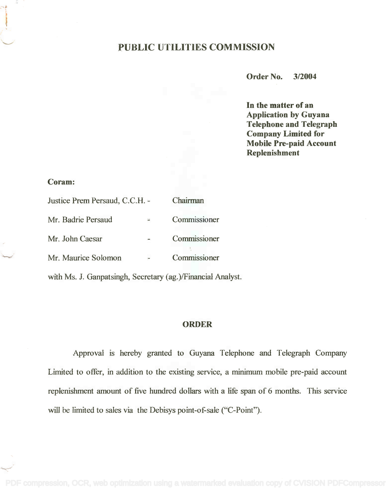## PUBLIC UTILITIES COMMISSION

Order No. 3/2004

In the matter of an In the matter of an Application by Guyana Application by Guyana Telephone and Telegraph Telephone and Telegraph Company Limited for Company Limited for Mobile Pre-paid Account Mobile Pre-paid Account Replenishment Replenishment

#### Coram:

| Justice Prem Persaud, C.C.H. - |   | Chairman     |
|--------------------------------|---|--------------|
| Mr. Badrie Persaud             | 空 | Commissioner |
| Mr. John Caesar                |   | Commissioner |
| Mr. Maurice Solomon            |   | Commissioner |

with Ms. J. Ganpatsingh, Secretary (ag.)/Financial Analyst.

#### ORDER

Approval is hereby granted to Guyana Telephone and Telegraph Company Limited to offer, in addition to the existing service, a minimum mobile pre-paid account replenishment amount of five hundred dollars with a life span of 6 months. This service will be limited to sales via the Debisys point-of-sale ("C-Point").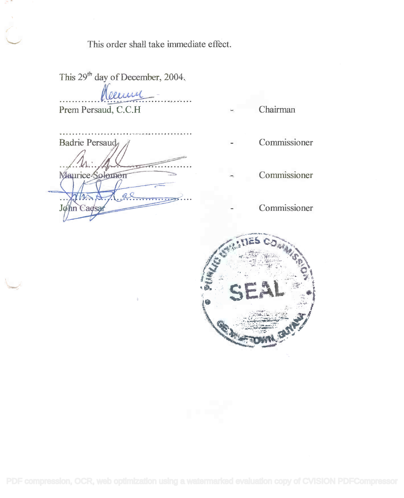This order shall take immediate effect.

This  $29<sup>th</sup>$  day of December, 2004.

Prem Persaud, C.C.H Prem Persaud, C.C.H aume

Chairman

| Badrie Persaud  |
|-----------------|
|                 |
| Maurice-        |
|                 |
| hn Cadsan<br>Jø |
|                 |

- Commissioner
- Commissioner
- Commissioner